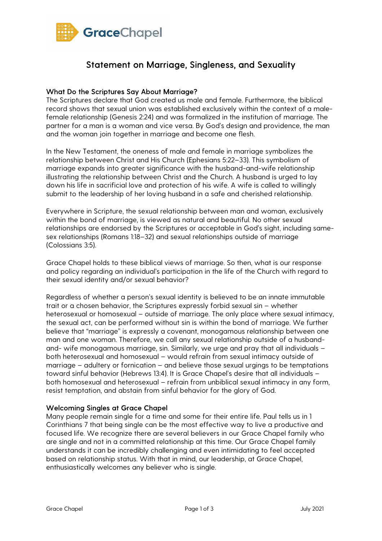

# Statement on Marriage, Singleness, and Sexuality

### What Do the Scriptures Say About Marriage?

The Scriptures declare that God created us male and female. Furthermore, the biblical record shows that sexual union was established exclusively within the context of a malefemale relationship (Genesis 2:24) and was formalized in the institution of marriage. The partner for a man is a woman and vice versa. By God's design and providence, the man and the woman join together in marriage and become one flesh.

In the New Testament, the oneness of male and female in marriage symbolizes the relationship between Christ and His Church (Ephesians 5:22–33). This symbolism of marriage expands into greater significance with the husband-and-wife relationship illustrating the relationship between Christ and the Church. A husband is urged to lay down his life in sacrificial love and protection of his wife. A wife is called to willingly submit to the leadership of her loving husband in a safe and cherished relationship.

Everywhere in Scripture, the sexual relationship between man and woman, exclusively within the bond of marriage, is viewed as natural and beautiful. No other sexual relationships are endorsed by the Scriptures or acceptable in God's sight, including samesex relationships (Romans 1:18–32) and sexual relationships outside of marriage (Colossians 3:5).

Grace Chapel holds to these biblical views of marriage. So then, what is our response and policy regarding an individual's participation in the life of the Church with regard to their sexual identity and/or sexual behavior?

Regardless of whether a person's sexual identity is believed to be an innate immutable trait or a chosen behavior, the Scriptures expressly forbid sexual sin – whether heterosexual or homosexual – outside of marriage. The only place where sexual intimacy, the sexual act, can be performed without sin is within the bond of marriage. We further believe that "marriage" is expressly a covenant, monogamous relationship between one man and one woman. Therefore, we call any sexual relationship outside of a husbandand- wife monogamous marriage, sin. Similarly, we urge and pray that all individuals – both heterosexual and homosexual – would refrain from sexual intimacy outside of marriage – adultery or fornication – and believe those sexual urgings to be temptations toward sinful behavior (Hebrews 13:4). It is Grace Chapel's desire that all individuals – both homosexual and heterosexual – refrain from unbiblical sexual intimacy in any form, resist temptation, and abstain from sinful behavior for the glory of God.

### Welcoming Singles at Grace Chapel

Many people remain single for a time and some for their entire life. Paul tells us in 1 Corinthians 7 that being single can be the most effective way to live a productive and focused life. We recognize there are several believers in our Grace Chapel family who are single and not in a committed relationship at this time. Our Grace Chapel family understands it can be incredibly challenging and even intimidating to feel accepted based on relationship status. With that in mind, our leadership, at Grace Chapel, enthusiastically welcomes any believer who is single.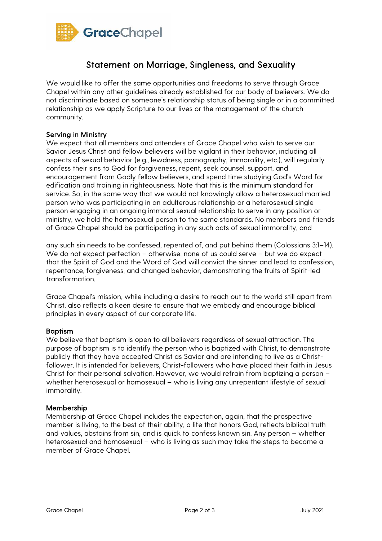

# Statement on Marriage, Singleness, and Sexuality

We would like to offer the same opportunities and freedoms to serve through Grace Chapel within any other guidelines already established for our body of believers. We do not discriminate based on someone's relationship status of being single or in a committed relationship as we apply Scripture to our lives or the management of the church community.

#### Serving in Ministry

We expect that all members and attenders of Grace Chapel who wish to serve our Savior Jesus Christ and fellow believers will be vigilant in their behavior, including all aspects of sexual behavior (e.g., lewdness, pornography, immorality, etc.), will regularly confess their sins to God for forgiveness, repent, seek counsel, support, and encouragement from Godly fellow believers, and spend time studying God's Word for edification and training in righteousness. Note that this is the minimum standard for service. So, in the same way that we would not knowingly allow a heterosexual married person who was participating in an adulterous relationship or a heterosexual single person engaging in an ongoing immoral sexual relationship to serve in any position or ministry, we hold the homosexual person to the same standards. No members and friends of Grace Chapel should be participating in any such acts of sexual immorality, and

any such sin needs to be confessed, repented of, and put behind them (Colossians 3:1–14). We do not expect perfection – otherwise, none of us could serve – but we do expect that the Spirit of God and the Word of God will convict the sinner and lead to confession, repentance, forgiveness, and changed behavior, demonstrating the fruits of Spirit-led transformation.

Grace Chapel's mission, while including a desire to reach out to the world still apart from Christ, also reflects a keen desire to ensure that we embody and encourage biblical principles in every aspect of our corporate life.

#### **Baptism**

We believe that baptism is open to all believers regardless of sexual attraction. The purpose of baptism is to identify the person who is baptized with Christ, to demonstrate publicly that they have accepted Christ as Savior and are intending to live as a Christfollower. It is intended for believers, Christ-followers who have placed their faith in Jesus Christ for their personal salvation. However, we would refrain from baptizing a person – whether heterosexual or homosexual - who is living any unrepentant lifestyle of sexual immorality.

#### Membership

Membership at Grace Chapel includes the expectation, again, that the prospective member is living, to the best of their ability, a life that honors God, reflects biblical truth and values, abstains from sin, and is quick to confess known sin. Any person – whether heterosexual and homosexual – who is living as such may take the steps to become a member of Grace Chapel.